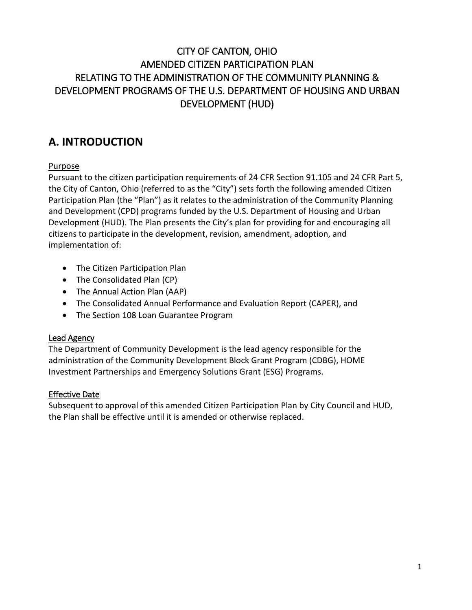## CITY OF CANTON, OHIO AMENDED CITIZEN PARTICIPATION PLAN RELATING TO THE ADMINISTRATION OF THE COMMUNITY PLANNING & DEVELOPMENT PROGRAMS OF THE U.S. DEPARTMENT OF HOUSING AND URBAN DEVELOPMENT (HUD)

## **A. INTRODUCTION**

## Purpose

Pursuant to the citizen participation requirements of 24 CFR Section 91.105 and 24 CFR Part 5, the City of Canton, Ohio (referred to as the "City") sets forth the following amended Citizen Participation Plan (the "Plan") as it relates to the administration of the Community Planning and Development (CPD) programs funded by the U.S. Department of Housing and Urban Development (HUD). The Plan presents the City's plan for providing for and encouraging all citizens to participate in the development, revision, amendment, adoption, and implementation of:

- The Citizen Participation Plan
- The Consolidated Plan (CP)
- The Annual Action Plan (AAP)
- The Consolidated Annual Performance and Evaluation Report (CAPER), and
- The Section 108 Loan Guarantee Program

## Lead Agency

The Department of Community Development is the lead agency responsible for the administration of the Community Development Block Grant Program (CDBG), HOME Investment Partnerships and Emergency Solutions Grant (ESG) Programs.

## Effective Date

Subsequent to approval of this amended Citizen Participation Plan by City Council and HUD, the Plan shall be effective until it is amended or otherwise replaced.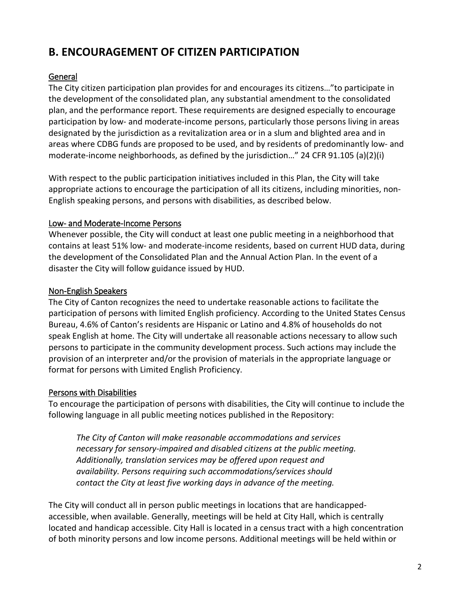# **B. ENCOURAGEMENT OF CITIZEN PARTICIPATION**

## General

The City citizen participation plan provides for and encourages its citizens…"to participate in the development of the consolidated plan, any substantial amendment to the consolidated plan, and the performance report. These requirements are designed especially to encourage participation by low- and moderate-income persons, particularly those persons living in areas designated by the jurisdiction as a revitalization area or in a slum and blighted area and in areas where CDBG funds are proposed to be used, and by residents of predominantly low- and moderate-income neighborhoods, as defined by the jurisdiction…" 24 CFR 91.105 (a)(2)(i)

With respect to the public participation initiatives included in this Plan, the City will take appropriate actions to encourage the participation of all its citizens, including minorities, non-English speaking persons, and persons with disabilities, as described below.

## Low- and Moderate-Income Persons

Whenever possible, the City will conduct at least one public meeting in a neighborhood that contains at least 51% low- and moderate-income residents, based on current HUD data, during the development of the Consolidated Plan and the Annual Action Plan. In the event of a disaster the City will follow guidance issued by HUD.

## Non-English Speakers

The City of Canton recognizes the need to undertake reasonable actions to facilitate the participation of persons with limited English proficiency. According to the United States Census Bureau, 4.6% of Canton's residents are Hispanic or Latino and 4.8% of households do not speak English at home. The City will undertake all reasonable actions necessary to allow such persons to participate in the community development process. Such actions may include the provision of an interpreter and/or the provision of materials in the appropriate language or format for persons with Limited English Proficiency.

## Persons with Disabilities

To encourage the participation of persons with disabilities, the City will continue to include the following language in all public meeting notices published in the Repository:

*The City of Canton will make reasonable accommodations and services necessary for sensory-impaired and disabled citizens at the public meeting. Additionally, translation services may be offered upon request and availability. Persons requiring such accommodations/services should contact the City at least five working days in advance of the meeting.*

The City will conduct all in person public meetings in locations that are handicappedaccessible, when available. Generally, meetings will be held at City Hall, which is centrally located and handicap accessible. City Hall is located in a census tract with a high concentration of both minority persons and low income persons. Additional meetings will be held within or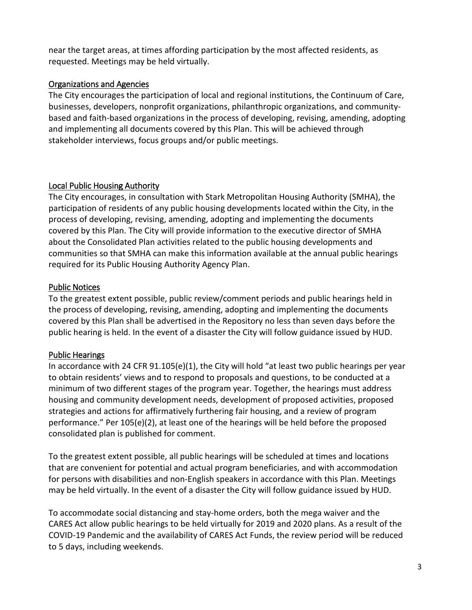near the target areas, at times affording participation by the most affected residents, as requested. Meetings may be held virtually.

#### Organizations and Agencies

The City encourages the participation of local and regional institutions, the Continuum of Care, businesses, developers, nonprofit organizations, philanthropic organizations, and communitybased and faith-based organizations in the process of developing, revising, amending, adopting and implementing all documents covered by this Plan. This will be achieved through stakeholder interviews, focus groups and/or public meetings.

## Local Public Housing Authority

The City encourages, in consultation with Stark Metropolitan Housing Authority (SMHA), the participation of residents of any public housing developments located within the City, in the process of developing, revising, amending, adopting and implementing the documents covered by this Plan. The City will provide information to the executive director of SMHA about the Consolidated Plan activities related to the public housing developments and communities so that SMHA can make this information available at the annual public hearings required for its Public Housing Authority Agency Plan.

## Public Notices

To the greatest extent possible, public review/comment periods and public hearings held in the process of developing, revising, amending, adopting and implementing the documents covered by this Plan shall be advertised in the Repository no less than seven days before the public hearing is held. In the event of a disaster the City will follow guidance issued by HUD.

## Public Hearings

In accordance with 24 CFR 91.105(e)(1), the City will hold "at least two public hearings per year to obtain residents' views and to respond to proposals and questions, to be conducted at a minimum of two different stages of the program year. Together, the hearings must address housing and community development needs, development of proposed activities, proposed strategies and actions for affirmatively furthering fair housing, and a review of program performance." Per 105(e)(2), at least one of the hearings will be held before the proposed consolidated plan is published for comment.

To the greatest extent possible, all public hearings will be scheduled at times and locations that are convenient for potential and actual program beneficiaries, and with accommodation for persons with disabilities and non-English speakers in accordance with this Plan. Meetings may be held virtually. In the event of a disaster the City will follow guidance issued by HUD.

To accommodate social distancing and stay-home orders, both the mega waiver and the CARES Act allow public hearings to be held virtually for 2019 and 2020 plans. As a result of the COVID-19 Pandemic and the availability of CARES Act Funds, the review period will be reduced to 5 days, including weekends.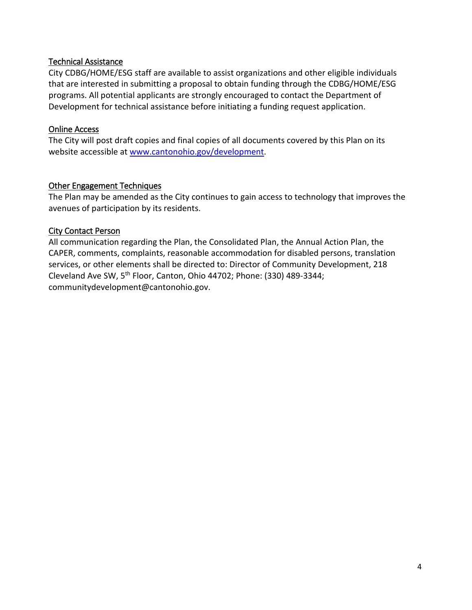#### Technical Assistance

City CDBG/HOME/ESG staff are available to assist organizations and other eligible individuals that are interested in submitting a proposal to obtain funding through the CDBG/HOME/ESG programs. All potential applicants are strongly encouraged to contact the Department of Development for technical assistance before initiating a funding request application.

#### Online Access

The City will post draft copies and final copies of all documents covered by this Plan on its website accessible at [www.cantonohio.gov/development.](http://www.cantonohio.gov/development)

#### Other Engagement Techniques

The Plan may be amended as the City continues to gain access to technology that improves the avenues of participation by its residents.

#### City Contact Person

All communication regarding the Plan, the Consolidated Plan, the Annual Action Plan, the CAPER, comments, complaints, reasonable accommodation for disabled persons, translation services, or other elements shall be directed to: Director of Community Development, 218 Cleveland Ave SW, 5th Floor, Canton, Ohio 44702; Phone: (330) 489-3344; communitydevelopment@cantonohio.gov.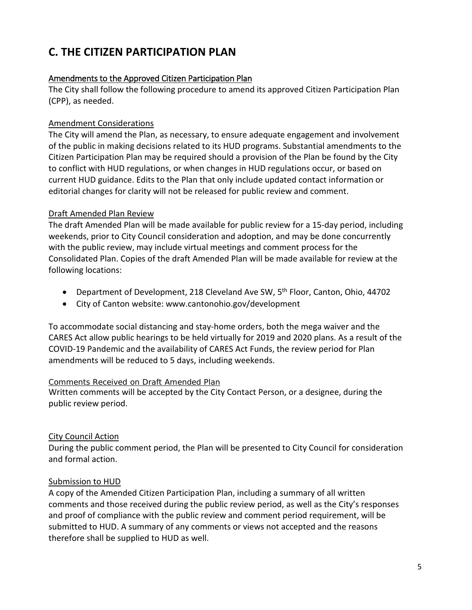# **C. THE CITIZEN PARTICIPATION PLAN**

#### Amendments to the Approved Citizen Participation Plan

The City shall follow the following procedure to amend its approved Citizen Participation Plan (CPP), as needed.

### Amendment Considerations

The City will amend the Plan, as necessary, to ensure adequate engagement and involvement of the public in making decisions related to its HUD programs. Substantial amendments to the Citizen Participation Plan may be required should a provision of the Plan be found by the City to conflict with HUD regulations, or when changes in HUD regulations occur, or based on current HUD guidance. Edits to the Plan that only include updated contact information or editorial changes for clarity will not be released for public review and comment.

#### Draft Amended Plan Review

The draft Amended Plan will be made available for public review for a 15-day period, including weekends, prior to City Council consideration and adoption, and may be done concurrently with the public review, may include virtual meetings and comment process for the Consolidated Plan. Copies of the draft Amended Plan will be made available for review at the following locations:

- Department of Development, 218 Cleveland Ave SW, 5<sup>th</sup> Floor, Canton, Ohio, 44702
- City of Canton website: www.cantonohio.gov/development

To accommodate social distancing and stay-home orders, both the mega waiver and the CARES Act allow public hearings to be held virtually for 2019 and 2020 plans. As a result of the COVID-19 Pandemic and the availability of CARES Act Funds, the review period for Plan amendments will be reduced to 5 days, including weekends.

#### Comments Received on Draft Amended Plan

Written comments will be accepted by the City Contact Person, or a designee, during the public review period.

#### City Council Action

During the public comment period, the Plan will be presented to City Council for consideration and formal action.

#### Submission to HUD

A copy of the Amended Citizen Participation Plan, including a summary of all written comments and those received during the public review period, as well as the City's responses and proof of compliance with the public review and comment period requirement, will be submitted to HUD. A summary of any comments or views not accepted and the reasons therefore shall be supplied to HUD as well.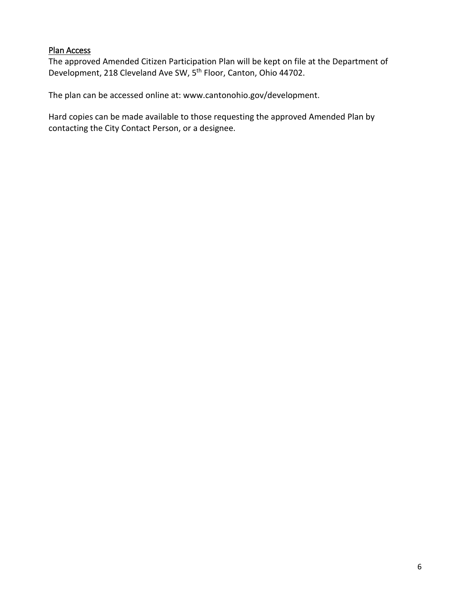#### Plan Access

The approved Amended Citizen Participation Plan will be kept on file at the Department of Development, 218 Cleveland Ave SW, 5<sup>th</sup> Floor, Canton, Ohio 44702.

The plan can be accessed online at: www.cantonohio.gov/development.

Hard copies can be made available to those requesting the approved Amended Plan by contacting the City Contact Person, or a designee.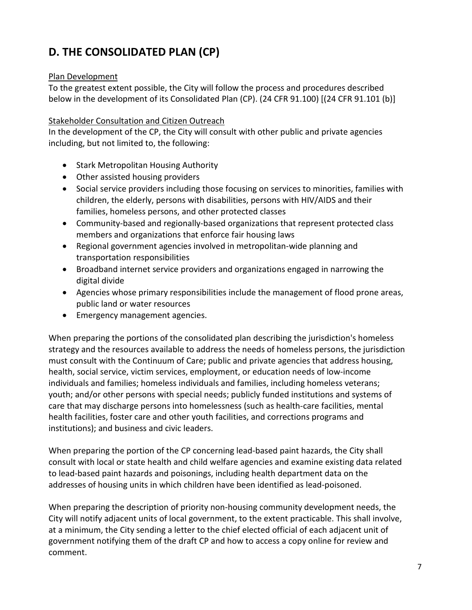# **D. THE CONSOLIDATED PLAN (CP)**

#### Plan Development

To the greatest extent possible, the City will follow the process and procedures described below in the development of its Consolidated Plan (CP). (24 CFR 91.100) [(24 CFR 91.101 (b)]

#### Stakeholder Consultation and Citizen Outreach

In the development of the CP, the City will consult with other public and private agencies including, but not limited to, the following:

- Stark Metropolitan Housing Authority
- Other assisted housing providers
- Social service providers including those focusing on services to minorities, families with children, the elderly, persons with disabilities, persons with HIV/AIDS and their families, homeless persons, and other protected classes
- Community-based and regionally-based organizations that represent protected class members and organizations that enforce fair housing laws
- Regional government agencies involved in metropolitan-wide planning and transportation responsibilities
- Broadband internet service providers and organizations engaged in narrowing the digital divide
- Agencies whose primary responsibilities include the management of flood prone areas, public land or water resources
- Emergency management agencies.

When preparing the portions of the consolidated plan describing the jurisdiction's homeless strategy and the resources available to address the needs of homeless persons, the jurisdiction must consult with the Continuum of Care; public and private agencies that address housing, health, social service, victim services, employment, or education needs of low-income individuals and families; homeless individuals and families, including homeless veterans; youth; and/or other persons with special needs; publicly funded institutions and systems of care that may discharge persons into homelessness (such as health-care facilities, mental health facilities, foster care and other youth facilities, and corrections programs and institutions); and business and civic leaders.

When preparing the portion of the CP concerning lead-based paint hazards, the City shall consult with local or state health and child welfare agencies and examine existing data related to lead-based paint hazards and poisonings, including health department data on the addresses of housing units in which children have been identified as lead-poisoned.

When preparing the description of priority non-housing community development needs, the City will notify adjacent units of local government, to the extent practicable. This shall involve, at a minimum, the City sending a letter to the chief elected official of each adjacent unit of government notifying them of the draft CP and how to access a copy online for review and comment.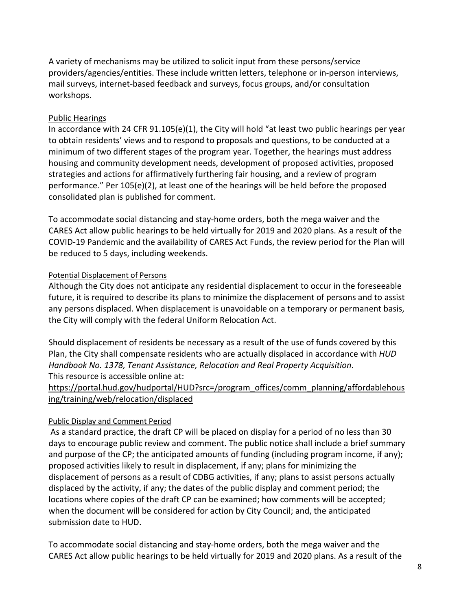A variety of mechanisms may be utilized to solicit input from these persons/service providers/agencies/entities. These include written letters, telephone or in-person interviews, mail surveys, internet-based feedback and surveys, focus groups, and/or consultation workshops.

#### Public Hearings

In accordance with 24 CFR 91.105(e)(1), the City will hold "at least two public hearings per year to obtain residents' views and to respond to proposals and questions, to be conducted at a minimum of two different stages of the program year. Together, the hearings must address housing and community development needs, development of proposed activities, proposed strategies and actions for affirmatively furthering fair housing, and a review of program performance." Per 105(e)(2), at least one of the hearings will be held before the proposed consolidated plan is published for comment.

To accommodate social distancing and stay-home orders, both the mega waiver and the CARES Act allow public hearings to be held virtually for 2019 and 2020 plans. As a result of the COVID-19 Pandemic and the availability of CARES Act Funds, the review period for the Plan will be reduced to 5 days, including weekends.

#### Potential Displacement of Persons

Although the City does not anticipate any residential displacement to occur in the foreseeable future, it is required to describe its plans to minimize the displacement of persons and to assist any persons displaced. When displacement is unavoidable on a temporary or permanent basis, the City will comply with the federal Uniform Relocation Act.

Should displacement of residents be necessary as a result of the use of funds covered by this Plan, the City shall compensate residents who are actually displaced in accordance with *HUD Handbook No. 1378, Tenant Assistance, Relocation and Real Property Acquisition*. This resource is accessible online at:

[https://portal.hud.gov/hudportal/HUD?src=/program\\_offices/comm\\_planning/affordablehous](https://portal.hud.gov/hudportal/HUD?src=/program_offices/comm_planning/affordablehousing/training/web/relocation/displaced) [ing/training/web/relocation/displaced](https://portal.hud.gov/hudportal/HUD?src=/program_offices/comm_planning/affordablehousing/training/web/relocation/displaced)

#### Public Display and Comment Period

As a standard practice, the draft CP will be placed on display for a period of no less than 30 days to encourage public review and comment. The public notice shall include a brief summary and purpose of the CP; the anticipated amounts of funding (including program income, if any); proposed activities likely to result in displacement, if any; plans for minimizing the displacement of persons as a result of CDBG activities, if any; plans to assist persons actually displaced by the activity, if any; the dates of the public display and comment period; the locations where copies of the draft CP can be examined; how comments will be accepted; when the document will be considered for action by City Council; and, the anticipated submission date to HUD.

To accommodate social distancing and stay-home orders, both the mega waiver and the CARES Act allow public hearings to be held virtually for 2019 and 2020 plans. As a result of the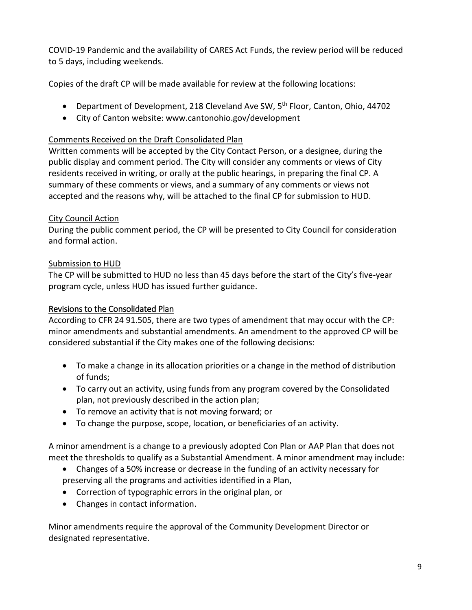COVID-19 Pandemic and the availability of CARES Act Funds, the review period will be reduced to 5 days, including weekends.

Copies of the draft CP will be made available for review at the following locations:

- Department of Development, 218 Cleveland Ave SW,  $5<sup>th</sup>$  Floor, Canton, Ohio, 44702
- City of Canton website: www.cantonohio.gov/development

#### Comments Received on the Draft Consolidated Plan

Written comments will be accepted by the City Contact Person, or a designee, during the public display and comment period. The City will consider any comments or views of City residents received in writing, or orally at the public hearings, in preparing the final CP. A summary of these comments or views, and a summary of any comments or views not accepted and the reasons why, will be attached to the final CP for submission to HUD.

#### City Council Action

During the public comment period, the CP will be presented to City Council for consideration and formal action.

#### Submission to HUD

The CP will be submitted to HUD no less than 45 days before the start of the City's five-year program cycle, unless HUD has issued further guidance.

### Revisions to the Consolidated Plan

According to CFR 24 91.505, there are two types of amendment that may occur with the CP: minor amendments and substantial amendments. An amendment to the approved CP will be considered substantial if the City makes one of the following decisions:

- To make a change in its allocation priorities or a change in the method of distribution of funds;
- To carry out an activity, using funds from any program covered by the Consolidated plan, not previously described in the action plan;
- To remove an activity that is not moving forward; or
- To change the purpose, scope, location, or beneficiaries of an activity.

A minor amendment is a change to a previously adopted Con Plan or AAP Plan that does not meet the thresholds to qualify as a Substantial Amendment. A minor amendment may include:

- Changes of a 50% increase or decrease in the funding of an activity necessary for preserving all the programs and activities identified in a Plan,
- Correction of typographic errors in the original plan, or
- Changes in contact information.

Minor amendments require the approval of the Community Development Director or designated representative.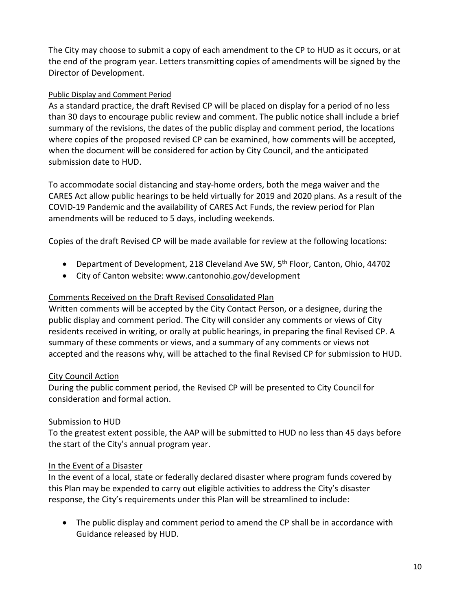The City may choose to submit a copy of each amendment to the CP to HUD as it occurs, or at the end of the program year. Letters transmitting copies of amendments will be signed by the Director of Development.

#### Public Display and Comment Period

As a standard practice, the draft Revised CP will be placed on display for a period of no less than 30 days to encourage public review and comment. The public notice shall include a brief summary of the revisions, the dates of the public display and comment period, the locations where copies of the proposed revised CP can be examined, how comments will be accepted, when the document will be considered for action by City Council, and the anticipated submission date to HUD.

To accommodate social distancing and stay-home orders, both the mega waiver and the CARES Act allow public hearings to be held virtually for 2019 and 2020 plans. As a result of the COVID-19 Pandemic and the availability of CARES Act Funds, the review period for Plan amendments will be reduced to 5 days, including weekends.

Copies of the draft Revised CP will be made available for review at the following locations:

- Department of Development, 218 Cleveland Ave SW, 5<sup>th</sup> Floor, Canton, Ohio, 44702
- City of Canton website: www.cantonohio.gov/development

#### Comments Received on the Draft Revised Consolidated Plan

Written comments will be accepted by the City Contact Person, or a designee, during the public display and comment period. The City will consider any comments or views of City residents received in writing, or orally at public hearings, in preparing the final Revised CP. A summary of these comments or views, and a summary of any comments or views not accepted and the reasons why, will be attached to the final Revised CP for submission to HUD.

#### City Council Action

During the public comment period, the Revised CP will be presented to City Council for consideration and formal action.

#### Submission to HUD

To the greatest extent possible, the AAP will be submitted to HUD no less than 45 days before the start of the City's annual program year.

#### In the Event of a Disaster

In the event of a local, state or federally declared disaster where program funds covered by this Plan may be expended to carry out eligible activities to address the City's disaster response, the City's requirements under this Plan will be streamlined to include:

• The public display and comment period to amend the CP shall be in accordance with Guidance released by HUD.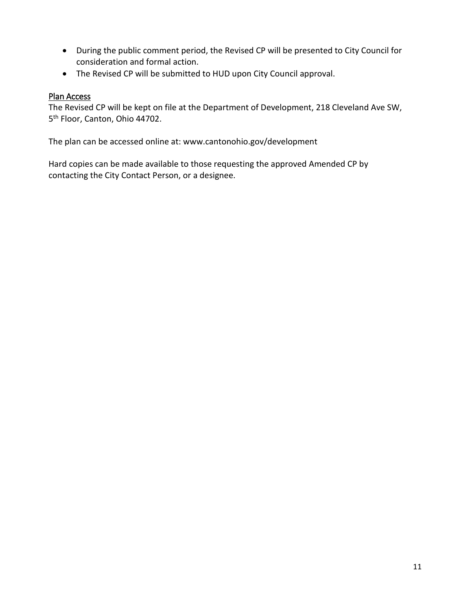- During the public comment period, the Revised CP will be presented to City Council for consideration and formal action.
- The Revised CP will be submitted to HUD upon City Council approval.

#### Plan Access

The Revised CP will be kept on file at the Department of Development, 218 Cleveland Ave SW, 5<sup>th</sup> Floor, Canton, Ohio 44702.

The plan can be accessed online at: www.cantonohio.gov/development

Hard copies can be made available to those requesting the approved Amended CP by contacting the City Contact Person, or a designee.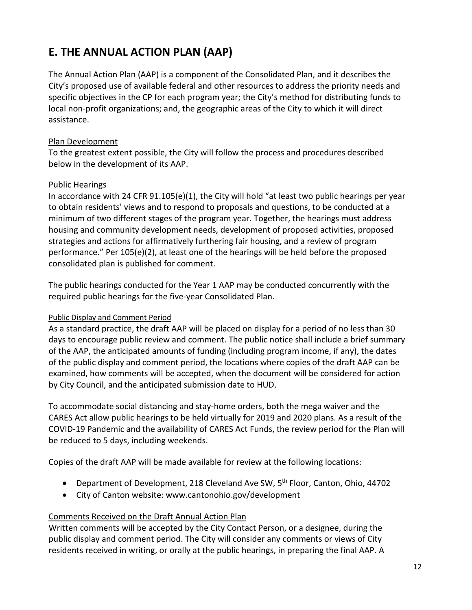# **E. THE ANNUAL ACTION PLAN (AAP)**

The Annual Action Plan (AAP) is a component of the Consolidated Plan, and it describes the City's proposed use of available federal and other resources to address the priority needs and specific objectives in the CP for each program year; the City's method for distributing funds to local non-profit organizations; and, the geographic areas of the City to which it will direct assistance.

#### Plan Development

To the greatest extent possible, the City will follow the process and procedures described below in the development of its AAP.

#### Public Hearings

In accordance with 24 CFR 91.105(e)(1), the City will hold "at least two public hearings per year to obtain residents' views and to respond to proposals and questions, to be conducted at a minimum of two different stages of the program year. Together, the hearings must address housing and community development needs, development of proposed activities, proposed strategies and actions for affirmatively furthering fair housing, and a review of program performance." Per 105(e)(2), at least one of the hearings will be held before the proposed consolidated plan is published for comment.

The public hearings conducted for the Year 1 AAP may be conducted concurrently with the required public hearings for the five-year Consolidated Plan.

#### Public Display and Comment Period

As a standard practice, the draft AAP will be placed on display for a period of no less than 30 days to encourage public review and comment. The public notice shall include a brief summary of the AAP, the anticipated amounts of funding (including program income, if any), the dates of the public display and comment period, the locations where copies of the draft AAP can be examined, how comments will be accepted, when the document will be considered for action by City Council, and the anticipated submission date to HUD.

To accommodate social distancing and stay-home orders, both the mega waiver and the CARES Act allow public hearings to be held virtually for 2019 and 2020 plans. As a result of the COVID-19 Pandemic and the availability of CARES Act Funds, the review period for the Plan will be reduced to 5 days, including weekends.

Copies of the draft AAP will be made available for review at the following locations:

- Department of Development, 218 Cleveland Ave SW, 5<sup>th</sup> Floor, Canton, Ohio, 44702
- City of Canton website: www.cantonohio.gov/development

## Comments Received on the Draft Annual Action Plan

Written comments will be accepted by the City Contact Person, or a designee, during the public display and comment period. The City will consider any comments or views of City residents received in writing, or orally at the public hearings, in preparing the final AAP. A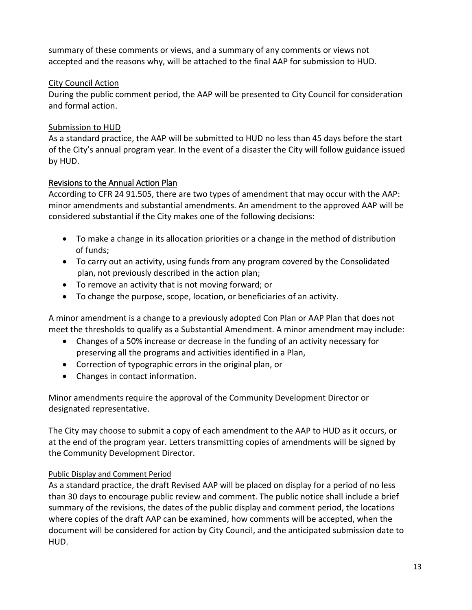summary of these comments or views, and a summary of any comments or views not accepted and the reasons why, will be attached to the final AAP for submission to HUD.

#### City Council Action

During the public comment period, the AAP will be presented to City Council for consideration and formal action.

#### Submission to HUD

As a standard practice, the AAP will be submitted to HUD no less than 45 days before the start of the City's annual program year. In the event of a disaster the City will follow guidance issued by HUD.

#### Revisions to the Annual Action Plan

According to CFR 24 91.505, there are two types of amendment that may occur with the AAP: minor amendments and substantial amendments. An amendment to the approved AAP will be considered substantial if the City makes one of the following decisions:

- To make a change in its allocation priorities or a change in the method of distribution of funds;
- To carry out an activity, using funds from any program covered by the Consolidated plan, not previously described in the action plan;
- To remove an activity that is not moving forward; or
- To change the purpose, scope, location, or beneficiaries of an activity.

A minor amendment is a change to a previously adopted Con Plan or AAP Plan that does not meet the thresholds to qualify as a Substantial Amendment. A minor amendment may include:

- Changes of a 50% increase or decrease in the funding of an activity necessary for preserving all the programs and activities identified in a Plan,
- Correction of typographic errors in the original plan, or
- Changes in contact information.

Minor amendments require the approval of the Community Development Director or designated representative.

The City may choose to submit a copy of each amendment to the AAP to HUD as it occurs, or at the end of the program year. Letters transmitting copies of amendments will be signed by the Community Development Director.

## Public Display and Comment Period

As a standard practice, the draft Revised AAP will be placed on display for a period of no less than 30 days to encourage public review and comment. The public notice shall include a brief summary of the revisions, the dates of the public display and comment period, the locations where copies of the draft AAP can be examined, how comments will be accepted, when the document will be considered for action by City Council, and the anticipated submission date to HUD.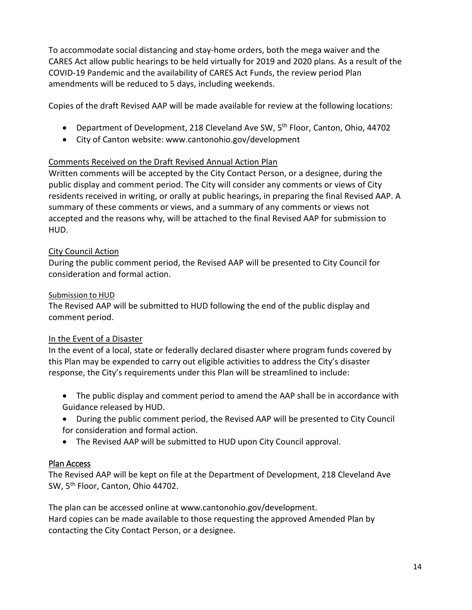To accommodate social distancing and stay-home orders, both the mega waiver and the CARES Act allow public hearings to be held virtually for 2019 and 2020 plans. As a result of the COVID-19 Pandemic and the availability of CARES Act Funds, the review period Plan amendments will be reduced to 5 days, including weekends.

Copies of the draft Revised AAP will be made available for review at the following locations:

- Department of Development, 218 Cleveland Ave SW, 5<sup>th</sup> Floor, Canton, Ohio, 44702
- City of Canton website: www.cantonohio.gov/development

#### Comments Received on the Draft Revised Annual Action Plan

Written comments will be accepted by the City Contact Person, or a designee, during the public display and comment period. The City will consider any comments or views of City residents received in writing, or orally at public hearings, in preparing the final Revised AAP. A summary of these comments or views, and a summary of any comments or views not accepted and the reasons why, will be attached to the final Revised AAP for submission to HUD.

#### City Council Action

During the public comment period, the Revised AAP will be presented to City Council for consideration and formal action.

#### Submission to HUD

The Revised AAP will be submitted to HUD following the end of the public display and comment period.

#### In the Event of a Disaster

In the event of a local, state or federally declared disaster where program funds covered by this Plan may be expended to carry out eligible activities to address the City's disaster response, the City's requirements under this Plan will be streamlined to include:

- The public display and comment period to amend the AAP shall be in accordance with Guidance released by HUD.
- During the public comment period, the Revised AAP will be presented to City Council for consideration and formal action.
- The Revised AAP will be submitted to HUD upon City Council approval.

## Plan Access

The Revised AAP will be kept on file at the Department of Development, 218 Cleveland Ave SW, 5<sup>th</sup> Floor, Canton, Ohio 44702.

The plan can be accessed online at www.cantonohio.gov/development. Hard copies can be made available to those requesting the approved Amended Plan by contacting the City Contact Person, or a designee.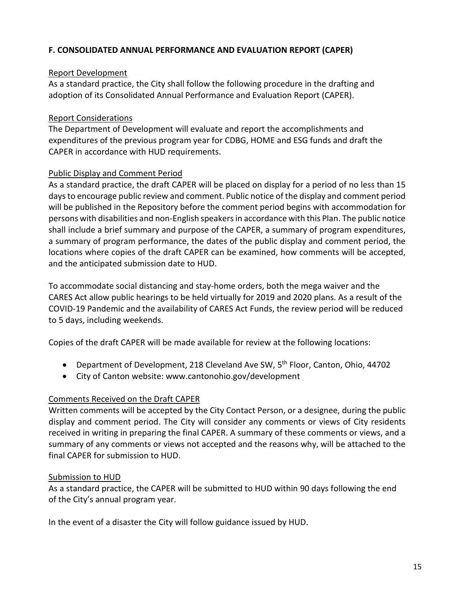#### **F. CONSOLIDATED ANNUAL PERFORMANCE AND EVALUATION REPORT (CAPER)**

#### Report Development

As a standard practice, the City shall follow the following procedure in the drafting and adoption of its Consolidated Annual Performance and Evaluation Report (CAPER).

#### Report Considerations

The Department of Development will evaluate and report the accomplishments and expenditures of the previous program year for CDBG, HOME and ESG funds and draft the CAPER in accordance with HUD requirements.

#### Public Display and Comment Period

As a standard practice, the draft CAPER will be placed on display for a period of no less than 15 days to encourage public review and comment. Public notice of the display and comment period will be published in the Repository before the comment period begins with accommodation for persons with disabilities and non-English speakers in accordance with this Plan. The public notice shall include a brief summary and purpose of the CAPER, a summary of program expenditures, a summary of program performance, the dates of the public display and comment period, the locations where copies of the draft CAPER can be examined, how comments will be accepted, and the anticipated submission date to HUD.

To accommodate social distancing and stay-home orders, both the mega waiver and the CARES Act allow public hearings to be held virtually for 2019 and 2020 plans. As a result of the COVID-19 Pandemic and the availability of CARES Act Funds, the review period will be reduced to 5 days, including weekends.

Copies of the draft CAPER will be made available for review at the following locations:

- Department of Development, 218 Cleveland Ave SW, 5<sup>th</sup> Floor, Canton, Ohio, 44702
- City of Canton website: www.cantonohio.gov/development

#### Comments Received on the Draft CAPER

Written comments will be accepted by the City Contact Person, or a designee, during the public display and comment period. The City will consider any comments or views of City residents received in writing in preparing the final CAPER. A summary of these comments or views, and a summary of any comments or views not accepted and the reasons why, will be attached to the final CAPER for submission to HUD.

#### Submission to HUD

As a standard practice, the CAPER will be submitted to HUD within 90 days following the end of the City's annual program year.

In the event of a disaster the City will follow guidance issued by HUD.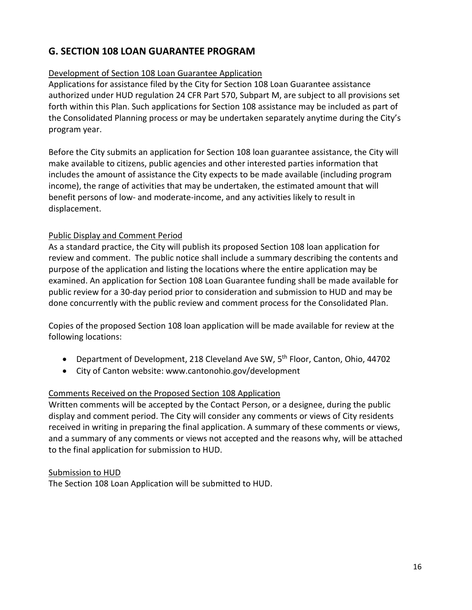## **G. SECTION 108 LOAN GUARANTEE PROGRAM**

#### Development of Section 108 Loan Guarantee Application

Applications for assistance filed by the City for Section 108 Loan Guarantee assistance authorized under HUD regulation 24 CFR Part 570, Subpart M, are subject to all provisions set forth within this Plan. Such applications for Section 108 assistance may be included as part of the Consolidated Planning process or may be undertaken separately anytime during the City's program year.

Before the City submits an application for Section 108 loan guarantee assistance, the City will make available to citizens, public agencies and other interested parties information that includes the amount of assistance the City expects to be made available (including program income), the range of activities that may be undertaken, the estimated amount that will benefit persons of low- and moderate-income, and any activities likely to result in displacement.

#### Public Display and Comment Period

As a standard practice, the City will publish its proposed Section 108 loan application for review and comment. The public notice shall include a summary describing the contents and purpose of the application and listing the locations where the entire application may be examined. An application for Section 108 Loan Guarantee funding shall be made available for public review for a 30-day period prior to consideration and submission to HUD and may be done concurrently with the public review and comment process for the Consolidated Plan.

Copies of the proposed Section 108 loan application will be made available for review at the following locations:

- Department of Development, 218 Cleveland Ave SW, 5<sup>th</sup> Floor, Canton, Ohio, 44702
- City of Canton website: www.cantonohio.gov/development

#### Comments Received on the Proposed Section 108 Application

Written comments will be accepted by the Contact Person, or a designee, during the public display and comment period. The City will consider any comments or views of City residents received in writing in preparing the final application. A summary of these comments or views, and a summary of any comments or views not accepted and the reasons why, will be attached to the final application for submission to HUD.

#### Submission to HUD

The Section 108 Loan Application will be submitted to HUD.